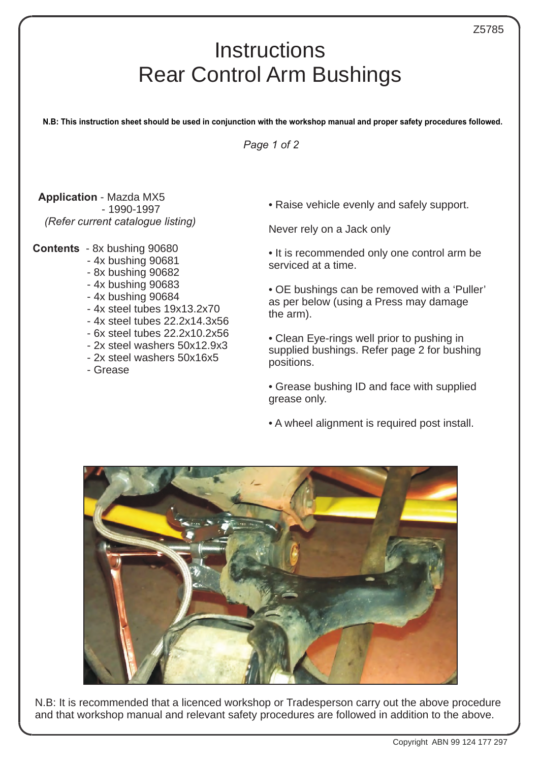## **Instructions** Rear Control Arm Bushings

Ι

**N.B: This instruction sheet should be used in conjunction with the workshop manual and proper safety procedures followed.**

*Page 1 of 2*

**Application** - Mazda MX5 - 1990-1997 *(Refer current catalogue listing)*

## **Contents** - 8x bushing 90680

- 4x bushing 90681
- 8x bushing 90682
- 4x bushing 90683
- 4x bushing 90684
- 4x steel tubes 19x13.2x70
- 4x steel tubes 22.2x14.3x56
- 6x steel tubes 22.2x10.2x56
- 2x steel washers 50x12.9x3
- 2x steel washers 50x16x5
- Grease

• Raise vehicle evenly and safely support.

Never rely on a Jack only

- It is recommended only one control arm be serviced at a time.
- OE bushings can be removed with a 'Puller' as per below (using a Press may damage the arm).
- Clean Eye-rings well prior to pushing in supplied bushings. Refer page 2 for bushing positions.
- Grease bushing ID and face with supplied grease only.
- A wheel alignment is required post install.



N.B: It is recommended that a licenced workshop or Tradesperson carry out the above procedure and that workshop manual and relevant safety procedures are followed in addition to the above.